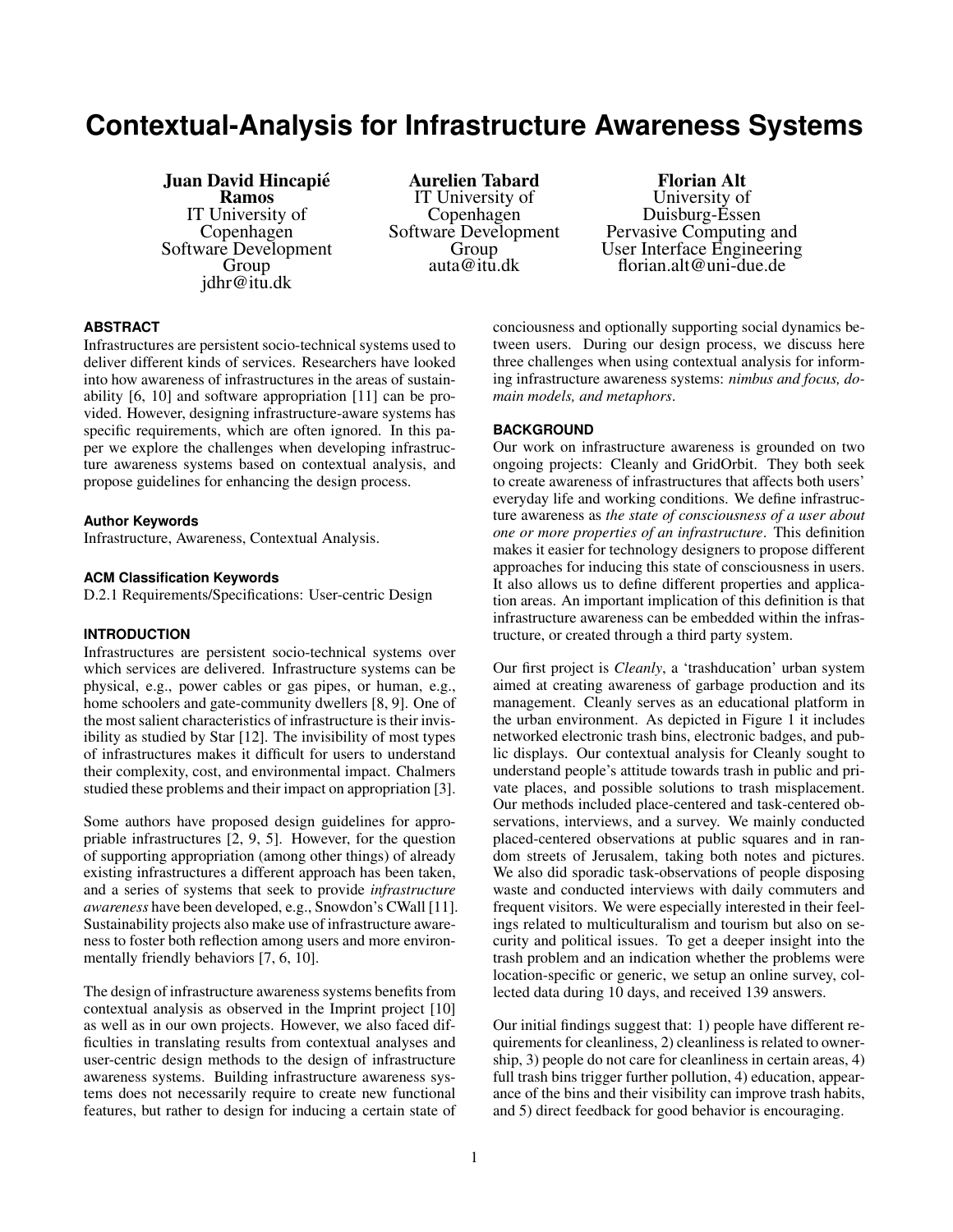# **Contextual-Analysis for Infrastructure Awareness Systems**

## Juan David Hincapie´

Ramos IT University of Copenhagen Software Development Group jdhr@itu.dk

Aurelien Tabard IT University of Copenhagen Software Development Group auta@itu.dk

Florian Alt University of Duisburg-Essen Pervasive Computing and User Interface Engineering florian.alt@uni-due.de

#### **ABSTRACT**

Infrastructures are persistent socio-technical systems used to deliver different kinds of services. Researchers have looked into how awareness of infrastructures in the areas of sustainability [\[6,](#page-3-0) [10\]](#page-3-1) and software appropriation [\[11\]](#page-3-2) can be provided. However, designing infrastructure-aware systems has specific requirements, which are often ignored. In this paper we explore the challenges when developing infrastructure awareness systems based on contextual analysis, and propose guidelines for enhancing the design process.

#### **Author Keywords**

Infrastructure, Awareness, Contextual Analysis.

#### **ACM Classification Keywords**

D.2.1 Requirements/Specifications: User-centric Design

## **INTRODUCTION**

Infrastructures are persistent socio-technical systems over which services are delivered. Infrastructure systems can be physical, e.g., power cables or gas pipes, or human, e.g., home schoolers and gate-community dwellers [\[8,](#page-3-3) [9\]](#page-3-4). One of the most salient characteristics of infrastructure is their invisibility as studied by Star [\[12\]](#page-3-5). The invisibility of most types of infrastructures makes it difficult for users to understand their complexity, cost, and environmental impact. Chalmers studied these problems and their impact on appropriation [\[3\]](#page-3-6).

Some authors have proposed design guidelines for appropriable infrastructures [\[2,](#page-3-7) [9,](#page-3-4) [5\]](#page-3-8). However, for the question of supporting appropriation (among other things) of already existing infrastructures a different approach has been taken, and a series of systems that seek to provide *infrastructure awareness* have been developed, e.g., Snowdon's CWall [\[11\]](#page-3-2). Sustainability projects also make use of infrastructure awareness to foster both reflection among users and more environmentally friendly behaviors [\[7,](#page-3-9) [6,](#page-3-0) [10\]](#page-3-1).

The design of infrastructure awareness systems benefits from contextual analysis as observed in the Imprint project [\[10\]](#page-3-1) as well as in our own projects. However, we also faced difficulties in translating results from contextual analyses and user-centric design methods to the design of infrastructure awareness systems. Building infrastructure awareness systems does not necessarily require to create new functional features, but rather to design for inducing a certain state of conciousness and optionally supporting social dynamics between users. During our design process, we discuss here three challenges when using contextual analysis for informing infrastructure awareness systems: *nimbus and focus, domain models, and metaphors*.

#### **BACKGROUND**

Our work on infrastructure awareness is grounded on two ongoing projects: Cleanly and GridOrbit. They both seek to create awareness of infrastructures that affects both users' everyday life and working conditions. We define infrastructure awareness as *the state of consciousness of a user about one or more properties of an infrastructure*. This definition makes it easier for technology designers to propose different approaches for inducing this state of consciousness in users. It also allows us to define different properties and application areas. An important implication of this definition is that infrastructure awareness can be embedded within the infrastructure, or created through a third party system.

Our first project is *Cleanly*, a 'trashducation' urban system aimed at creating awareness of garbage production and its management. Cleanly serves as an educational platform in the urban environment. As depicted in Figure [1](#page-1-0) it includes networked electronic trash bins, electronic badges, and public displays. Our contextual analysis for Cleanly sought to understand people's attitude towards trash in public and private places, and possible solutions to trash misplacement. Our methods included place-centered and task-centered observations, interviews, and a survey. We mainly conducted placed-centered observations at public squares and in random streets of Jerusalem, taking both notes and pictures. We also did sporadic task-observations of people disposing waste and conducted interviews with daily commuters and frequent visitors. We were especially interested in their feelings related to multiculturalism and tourism but also on security and political issues. To get a deeper insight into the trash problem and an indication whether the problems were location-specific or generic, we setup an online survey, collected data during 10 days, and received 139 answers.

Our initial findings suggest that: 1) people have different requirements for cleanliness, 2) cleanliness is related to ownership, 3) people do not care for cleanliness in certain areas, 4) full trash bins trigger further pollution, 4) education, appearance of the bins and their visibility can improve trash habits, and 5) direct feedback for good behavior is encouraging.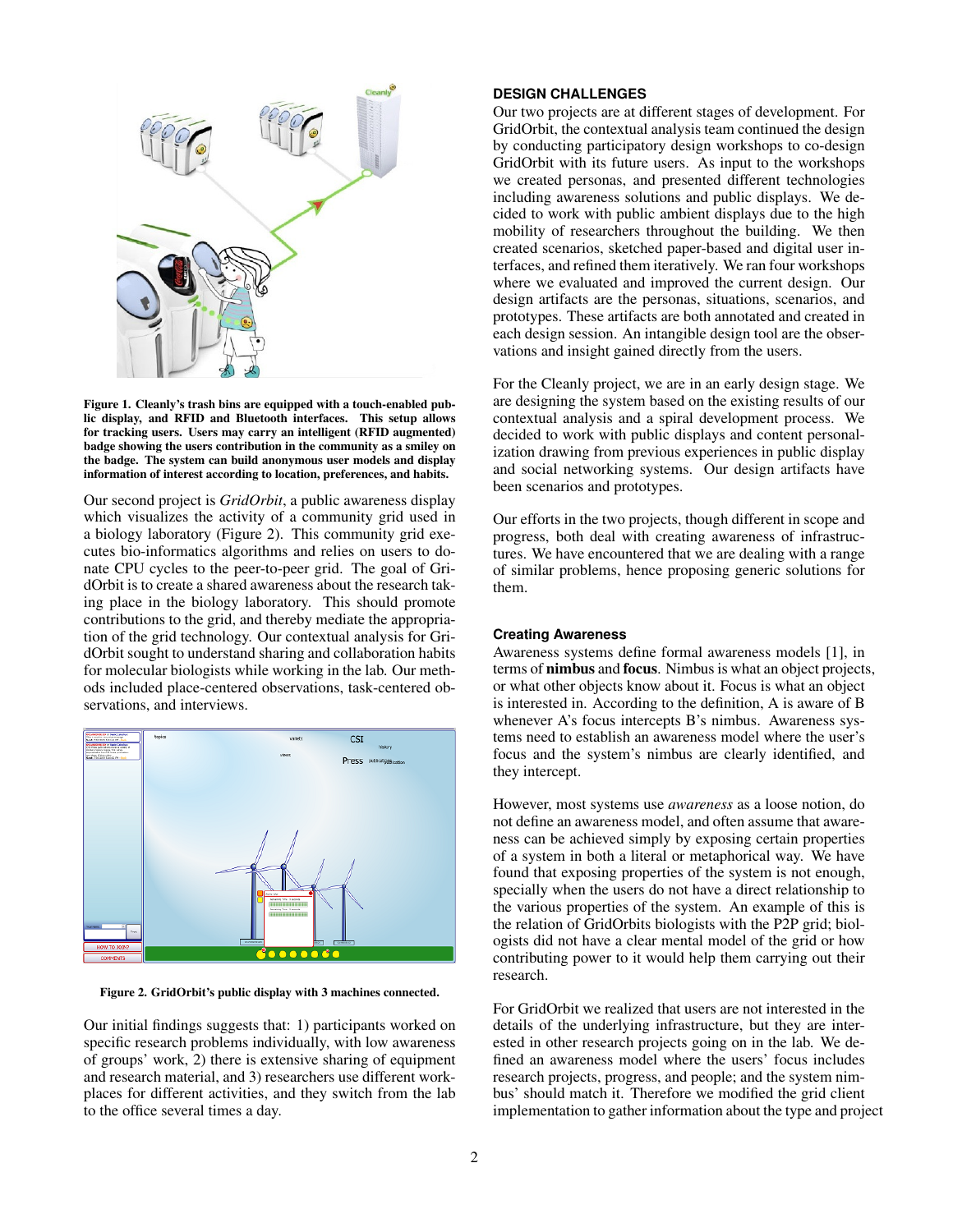

Figure 1. Cleanly's trash bins are equipped with a touch-enabled public display, and RFID and Bluetooth interfaces. This setup allows for tracking users. Users may carry an intelligent (RFID augmented) badge showing the users contribution in the community as a smiley on the badge. The system can build anonymous user models and display information of interest according to location, preferences, and habits.

<span id="page-1-0"></span>Our second project is *GridOrbit*, a public awareness display which visualizes the activity of a community grid used in a biology laboratory (Figure [2\)](#page-1-1). This community grid executes bio-informatics algorithms and relies on users to donate CPU cycles to the peer-to-peer grid. The goal of GridOrbit is to create a shared awareness about the research taking place in the biology laboratory. This should promote contributions to the grid, and thereby mediate the appropriation of the grid technology. Our contextual analysis for GridOrbit sought to understand sharing and collaboration habits for molecular biologists while working in the lab. Our methods included place-centered observations, task-centered observations, and interviews.



<span id="page-1-1"></span>Figure 2. GridOrbit's public display with 3 machines connected.

Our initial findings suggests that: 1) participants worked on specific research problems individually, with low awareness of groups' work, 2) there is extensive sharing of equipment and research material, and 3) researchers use different workplaces for different activities, and they switch from the lab to the office several times a day.

#### **DESIGN CHALLENGES**

Our two projects are at different stages of development. For GridOrbit, the contextual analysis team continued the design by conducting participatory design workshops to co-design GridOrbit with its future users. As input to the workshops we created personas, and presented different technologies including awareness solutions and public displays. We decided to work with public ambient displays due to the high mobility of researchers throughout the building. We then created scenarios, sketched paper-based and digital user interfaces, and refined them iteratively. We ran four workshops where we evaluated and improved the current design. Our design artifacts are the personas, situations, scenarios, and prototypes. These artifacts are both annotated and created in each design session. An intangible design tool are the observations and insight gained directly from the users.

For the Cleanly project, we are in an early design stage. We are designing the system based on the existing results of our contextual analysis and a spiral development process. We decided to work with public displays and content personalization drawing from previous experiences in public display and social networking systems. Our design artifacts have been scenarios and prototypes.

Our efforts in the two projects, though different in scope and progress, both deal with creating awareness of infrastructures. We have encountered that we are dealing with a range of similar problems, hence proposing generic solutions for them.

#### **Creating Awareness**

Awareness systems define formal awareness models [\[1\]](#page-3-10), in terms of nimbus and focus. Nimbus is what an object projects, or what other objects know about it. Focus is what an object is interested in. According to the definition, A is aware of B whenever A's focus intercepts B's nimbus. Awareness systems need to establish an awareness model where the user's focus and the system's nimbus are clearly identified, and they intercept.

However, most systems use *awareness* as a loose notion, do not define an awareness model, and often assume that awareness can be achieved simply by exposing certain properties of a system in both a literal or metaphorical way. We have found that exposing properties of the system is not enough, specially when the users do not have a direct relationship to the various properties of the system. An example of this is the relation of GridOrbits biologists with the P2P grid; biologists did not have a clear mental model of the grid or how contributing power to it would help them carrying out their research.

For GridOrbit we realized that users are not interested in the details of the underlying infrastructure, but they are interested in other research projects going on in the lab. We defined an awareness model where the users' focus includes research projects, progress, and people; and the system nimbus' should match it. Therefore we modified the grid client implementation to gather information about the type and project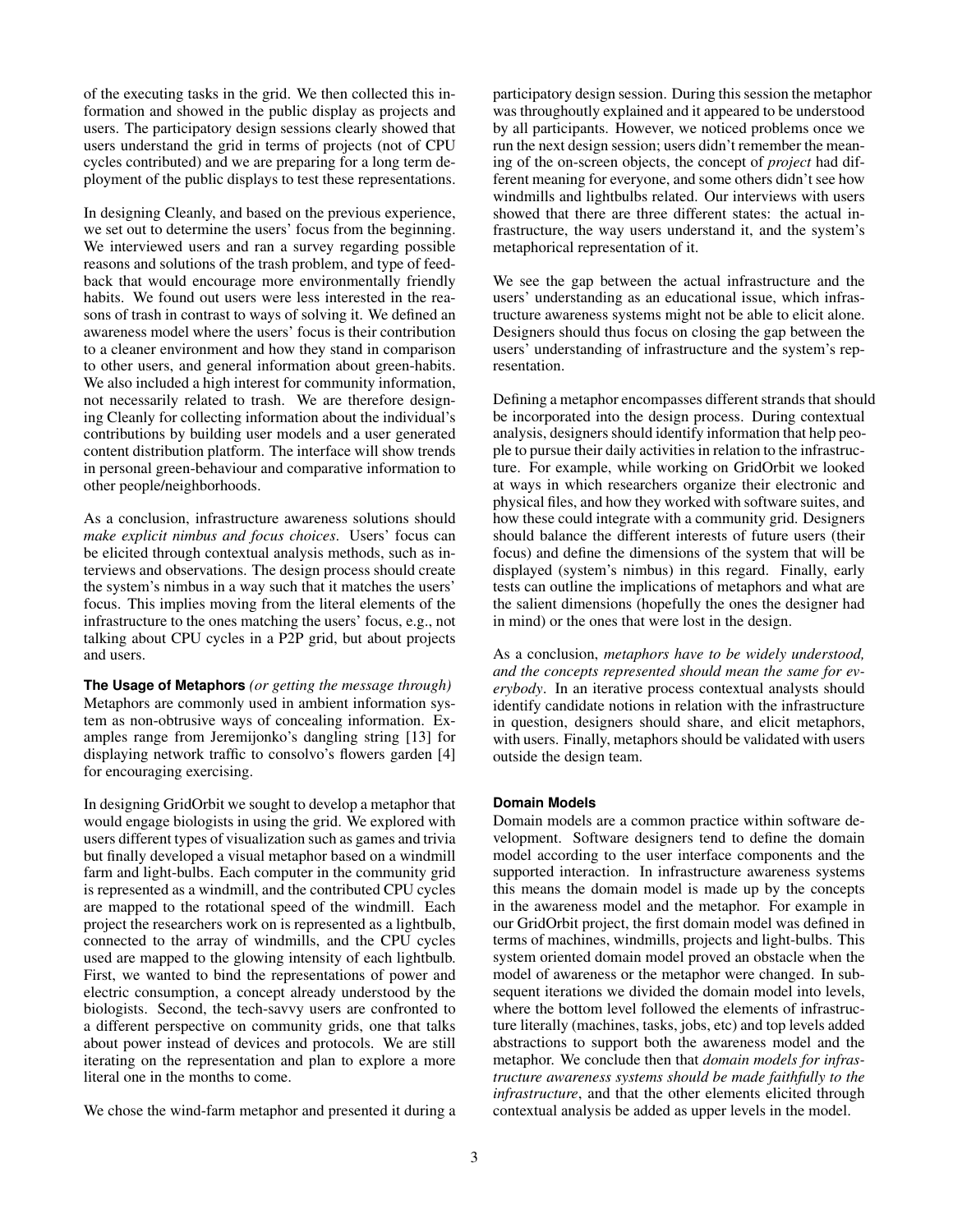of the executing tasks in the grid. We then collected this information and showed in the public display as projects and users. The participatory design sessions clearly showed that users understand the grid in terms of projects (not of CPU cycles contributed) and we are preparing for a long term deployment of the public displays to test these representations.

In designing Cleanly, and based on the previous experience, we set out to determine the users' focus from the beginning. We interviewed users and ran a survey regarding possible reasons and solutions of the trash problem, and type of feedback that would encourage more environmentally friendly habits. We found out users were less interested in the reasons of trash in contrast to ways of solving it. We defined an awareness model where the users' focus is their contribution to a cleaner environment and how they stand in comparison to other users, and general information about green-habits. We also included a high interest for community information, not necessarily related to trash. We are therefore designing Cleanly for collecting information about the individual's contributions by building user models and a user generated content distribution platform. The interface will show trends in personal green-behaviour and comparative information to other people/neighborhoods.

As a conclusion, infrastructure awareness solutions should *make explicit nimbus and focus choices*. Users' focus can be elicited through contextual analysis methods, such as interviews and observations. The design process should create the system's nimbus in a way such that it matches the users' focus. This implies moving from the literal elements of the infrastructure to the ones matching the users' focus, e.g., not talking about CPU cycles in a P2P grid, but about projects and users.

**The Usage of Metaphors** *(or getting the message through)* Metaphors are commonly used in ambient information system as non-obtrusive ways of concealing information. Examples range from Jeremijonko's dangling string [\[13\]](#page-3-11) for displaying network traffic to consolvo's flowers garden [\[4\]](#page-3-12) for encouraging exercising.

In designing GridOrbit we sought to develop a metaphor that would engage biologists in using the grid. We explored with users different types of visualization such as games and trivia but finally developed a visual metaphor based on a windmill farm and light-bulbs. Each computer in the community grid is represented as a windmill, and the contributed CPU cycles are mapped to the rotational speed of the windmill. Each project the researchers work on is represented as a lightbulb, connected to the array of windmills, and the CPU cycles used are mapped to the glowing intensity of each lightbulb. First, we wanted to bind the representations of power and electric consumption, a concept already understood by the biologists. Second, the tech-savvy users are confronted to a different perspective on community grids, one that talks about power instead of devices and protocols. We are still iterating on the representation and plan to explore a more literal one in the months to come.

We chose the wind-farm metaphor and presented it during a

participatory design session. During this session the metaphor was throughoutly explained and it appeared to be understood by all participants. However, we noticed problems once we run the next design session; users didn't remember the meaning of the on-screen objects, the concept of *project* had different meaning for everyone, and some others didn't see how windmills and lightbulbs related. Our interviews with users showed that there are three different states: the actual infrastructure, the way users understand it, and the system's metaphorical representation of it.

We see the gap between the actual infrastructure and the users' understanding as an educational issue, which infrastructure awareness systems might not be able to elicit alone. Designers should thus focus on closing the gap between the users' understanding of infrastructure and the system's representation.

Defining a metaphor encompasses different strands that should be incorporated into the design process. During contextual analysis, designers should identify information that help people to pursue their daily activities in relation to the infrastructure. For example, while working on GridOrbit we looked at ways in which researchers organize their electronic and physical files, and how they worked with software suites, and how these could integrate with a community grid. Designers should balance the different interests of future users (their focus) and define the dimensions of the system that will be displayed (system's nimbus) in this regard. Finally, early tests can outline the implications of metaphors and what are the salient dimensions (hopefully the ones the designer had in mind) or the ones that were lost in the design.

As a conclusion, *metaphors have to be widely understood, and the concepts represented should mean the same for everybody*. In an iterative process contextual analysts should identify candidate notions in relation with the infrastructure in question, designers should share, and elicit metaphors, with users. Finally, metaphors should be validated with users outside the design team.

#### **Domain Models**

Domain models are a common practice within software development. Software designers tend to define the domain model according to the user interface components and the supported interaction. In infrastructure awareness systems this means the domain model is made up by the concepts in the awareness model and the metaphor. For example in our GridOrbit project, the first domain model was defined in terms of machines, windmills, projects and light-bulbs. This system oriented domain model proved an obstacle when the model of awareness or the metaphor were changed. In subsequent iterations we divided the domain model into levels, where the bottom level followed the elements of infrastructure literally (machines, tasks, jobs, etc) and top levels added abstractions to support both the awareness model and the metaphor. We conclude then that *domain models for infrastructure awareness systems should be made faithfully to the infrastructure*, and that the other elements elicited through contextual analysis be added as upper levels in the model.